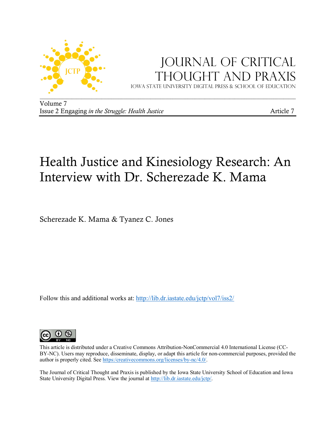

## JOURNAL OF CRITICAL Thought and Praxis

Iowa state university digital press & School of education

Volume 7 Issue 2 Engaging *in the Struggle: Health Justice* **Article 7** Article 7

# Health Justice and Kinesiology Research: An Interview with Dr. Scherezade K. Mama

Scherezade K. Mama & Tyanez C. Jones

Follow this and additional works at: http://lib.dr.iastate.edu/jctp/vol7/iss2/



This article is distributed under a Creative Commons Attribution-NonCommercial 4.0 International License (CC-BY-NC). Users may reproduce, disseminate, display, or adapt this article for non-commercial purposes, provided the author is properly cited. See https:/creativecommons.org/licenses/by-nc/4.0/.

The Journal of Critical Thought and Praxis is published by the Iowa State University School of Education and Iowa State University Digital Press. View the journal at http://lib.dr.iastate.edu/jctp/.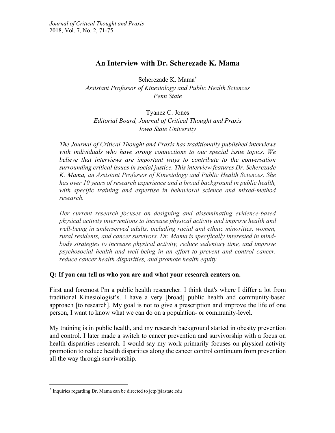## **An Interview with Dr. Scherezade K. Mama**

Scherezade K. Mama\* *Assistant Professor of Kinesiology and Public Health Sciences Penn State*

Tyanez C. Jones *Editorial Board, Journal of Critical Thought and Praxis Iowa State University*

*The Journal of Critical Thought and Praxis has traditionally published interviews with individuals who have strong connections to our special issue topics. We believe that interviews are important ways to contribute to the conversation surrounding critical issues in social justice. This interview features Dr. Scherezade K. Mama, an Assistant Professor of Kinesiology and Public Health Sciences. She has over 10 years of research experience and a broad background in public health, with specific training and expertise in behavioral science and mixed-method research.* 

*Her current research focuses on designing and disseminating evidence-based physical activity interventions to increase physical activity and improve health and well-being in underserved adults, including racial and ethnic minorities, women, rural residents, and cancer survivors. Dr. Mama is specifically interested in mindbody strategies to increase physical activity, reduce sedentary time, and improve psychosocial health and well-being in an effort to prevent and control cancer, reduce cancer health disparities, and promote health equity.*

## **Q: If you can tell us who you are and what your research centers on.**

First and foremost I'm a public health researcher. I think that's where I differ a lot from traditional Kinesiologist's. I have a very [broad] public health and community-based approach [to research]. My goal is not to give a prescription and improve the life of one person, I want to know what we can do on a population- or community-level.

My training is in public health, and my research background started in obesity prevention and control. I later made a switch to cancer prevention and survivorship with a focus on health disparities research. I would say my work primarily focuses on physical activity promotion to reduce health disparities along the cancer control continuum from prevention all the way through survivorship.

 $*$  Inquiries regarding Dr. Mama can be directed to jctp@iastate.edu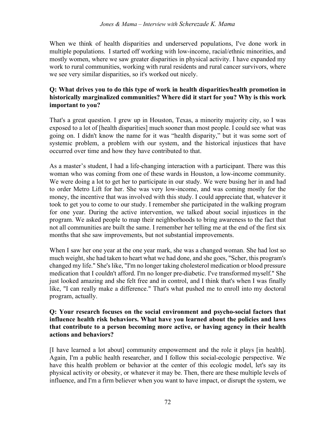When we think of health disparities and underserved populations, I've done work in multiple populations. I started off working with low-income, racial/ethnic minorities, and mostly women, where we saw greater disparities in physical activity. I have expanded my work to rural communities, working with rural residents and rural cancer survivors, where we see very similar disparities, so it's worked out nicely.

## **Q: What drives you to do this type of work in health disparities/health promotion in historically marginalized communities? Where did it start for you? Why is this work important to you?**

That's a great question. I grew up in Houston, Texas, a minority majority city, so I was exposed to a lot of [health disparities] much sooner than most people. I could see what was going on. I didn't know the name for it was "health disparity," but it was some sort of systemic problem, a problem with our system, and the historical injustices that have occurred over time and how they have contributed to that.

As a master's student, I had a life-changing interaction with a participant. There was this woman who was coming from one of these wards in Houston, a low-income community. We were doing a lot to get her to participate in our study. We were busing her in and had to order Metro Lift for her. She was very low-income, and was coming mostly for the money, the incentive that was involved with this study. I could appreciate that, whatever it took to get you to come to our study. I remember she participated in the walking program for one year. During the active intervention, we talked about social injustices in the program. We asked people to map their neighborhoods to bring awareness to the fact that not all communities are built the same. I remember her telling me at the end of the first six months that she saw improvements, but not substantial improvements.

When I saw her one year at the one year mark, she was a changed woman. She had lost so much weight, she had taken to heart what we had done, and she goes, "Scher, this program's changed my life." She's like, "I'm no longer taking cholesterol medication or blood pressure medication that I couldn't afford. I'm no longer pre-diabetic. I've transformed myself." She just looked amazing and she felt free and in control, and I think that's when I was finally like, "I can really make a difference." That's what pushed me to enroll into my doctoral program, actually.

## **Q: Your research focuses on the social environment and psycho-social factors that influence health risk behaviors. What have you learned about the policies and laws that contribute to a person becoming more active, or having agency in their health actions and behaviors?**

[I have learned a lot about] community empowerment and the role it plays [in health]. Again, I'm a public health researcher, and I follow this social-ecologic perspective. We have this health problem or behavior at the center of this ecologic model, let's say its physical activity or obesity, or whatever it may be. Then, there are these multiple levels of influence, and I'm a firm believer when you want to have impact, or disrupt the system, we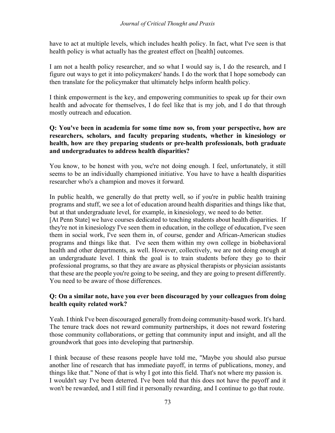#### *Journal of Critical Thought and Praxis*

have to act at multiple levels, which includes health policy. In fact, what I've seen is that health policy is what actually has the greatest effect on [health] outcomes.

I am not a health policy researcher, and so what I would say is, I do the research, and I figure out ways to get it into policymakers' hands. I do the work that I hope somebody can then translate for the policymaker that ultimately helps inform health policy.

I think empowerment is the key, and empowering communities to speak up for their own health and advocate for themselves, I do feel like that is my job, and I do that through mostly outreach and education.

## **Q: You've been in academia for some time now so, from your perspective, how are researchers, scholars, and faculty preparing students, whether in kinesiology or health, how are they preparing students or pre-health professionals, both graduate and undergraduates to address health disparities?**

You know, to be honest with you, we're not doing enough. I feel, unfortunately, it still seems to be an individually championed initiative. You have to have a health disparities researcher who's a champion and moves it forward.

In public health, we generally do that pretty well, so if you're in public health training programs and stuff, we see a lot of education around health disparities and things like that, but at that undergraduate level, for example, in kinesiology, we need to do better.

[At Penn State] we have courses dedicated to teaching students about health disparities. If they're not in kinesiology I've seen them in education, in the college of education, I've seen them in social work, I've seen them in, of course, gender and African-American studies programs and things like that. I've seen them within my own college in biobehavioral health and other departments, as well. However, collectively, we are not doing enough at an undergraduate level. I think the goal is to train students before they go to their professional programs, so that they are aware as physical therapists or physician assistants that these are the people you're going to be seeing, and they are going to present differently. You need to be aware of those differences.

## **Q: On a similar note, have you ever been discouraged by your colleagues from doing health equity related work?**

Yeah. I think I've been discouraged generally from doing community-based work. It's hard. The tenure track does not reward community partnerships, it does not reward fostering those community collaborations, or getting that community input and insight, and all the groundwork that goes into developing that partnership.

I think because of these reasons people have told me, "Maybe you should also pursue another line of research that has immediate payoff, in terms of publications, money, and things like that." None of that is why I got into this field. That's not where my passion is. I wouldn't say I've been deterred. I've been told that this does not have the payoff and it won't be rewarded, and I still find it personally rewarding, and I continue to go that route.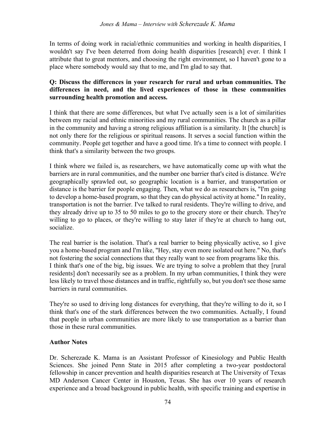In terms of doing work in racial/ethnic communities and working in health disparities, I wouldn't say I've been deterred from doing health disparities [research] ever. I think I attribute that to great mentors, and choosing the right environment, so I haven't gone to a place where somebody would say that to me, and I'm glad to say that.

## **Q: Discuss the differences in your research for rural and urban communities. The differences in need, and the lived experiences of those in these communities surrounding health promotion and access.**

I think that there are some differences, but what I've actually seen is a lot of similarities between my racial and ethnic minorities and my rural communities. The church as a pillar in the community and having a strong religious affiliation is a similarity. It [the church] is not only there for the religious or spiritual reasons. It serves a social function within the community. People get together and have a good time. It's a time to connect with people. I think that's a similarity between the two groups.

I think where we failed is, as researchers, we have automatically come up with what the barriers are in rural communities, and the number one barrier that's cited is distance. We're geographically sprawled out, so geographic location is a barrier, and transportation or distance is the barrier for people engaging. Then, what we do as researchers is, "I'm going to develop a home-based program, so that they can do physical activity at home." In reality, transportation is not the barrier. I've talked to rural residents. They're willing to drive, and they already drive up to 35 to 50 miles to go to the grocery store or their church. They're willing to go to places, or they're willing to stay later if they're at church to hang out, socialize.

The real barrier is the isolation. That's a real barrier to being physically active, so I give you a home-based program and I'm like, "Hey, stay even more isolated out here." No, that's not fostering the social connections that they really want to see from programs like this. I think that's one of the big, big issues. We are trying to solve a problem that they [rural residents] don't necessarily see as a problem. In my urban communities, I think they were less likely to travel those distances and in traffic, rightfully so, but you don't see those same barriers in rural communities.

They're so used to driving long distances for everything, that they're willing to do it, so I think that's one of the stark differences between the two communities. Actually, I found that people in urban communities are more likely to use transportation as a barrier than those in these rural communities.

## **Author Notes**

Dr. Scherezade K. Mama is an Assistant Professor of Kinesiology and Public Health Sciences. She joined Penn State in 2015 after completing a two-year postdoctoral fellowship in cancer prevention and health disparities research at The University of Texas MD Anderson Cancer Center in Houston, Texas. She has over 10 years of research experience and a broad background in public health, with specific training and expertise in